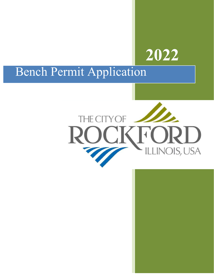# **2022**

## Bench Permit Application

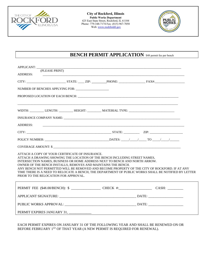

**City of Rockford, Illinois Public Works Department** 425 East State Street, Rockford, IL 61104 Phone: 779-348-7174 Fax: (815) 967-7058 Web: www.rockfordil.gov



### **BENCH PERMIT APPLICATION** \$48 permit fee per bench

| APPLICANT:                                                                                                                                                                                                                                                                                                                                                                                                                                                                                                                       |  |  |
|----------------------------------------------------------------------------------------------------------------------------------------------------------------------------------------------------------------------------------------------------------------------------------------------------------------------------------------------------------------------------------------------------------------------------------------------------------------------------------------------------------------------------------|--|--|
| (PLEASE PRINT)<br><b>ADDRESS:</b>                                                                                                                                                                                                                                                                                                                                                                                                                                                                                                |  |  |
|                                                                                                                                                                                                                                                                                                                                                                                                                                                                                                                                  |  |  |
|                                                                                                                                                                                                                                                                                                                                                                                                                                                                                                                                  |  |  |
|                                                                                                                                                                                                                                                                                                                                                                                                                                                                                                                                  |  |  |
|                                                                                                                                                                                                                                                                                                                                                                                                                                                                                                                                  |  |  |
| WIDTH: LENGTH: LENGTH: _________ HEIGHT: _________ MATERIAL TYPE: __________________________________                                                                                                                                                                                                                                                                                                                                                                                                                             |  |  |
|                                                                                                                                                                                                                                                                                                                                                                                                                                                                                                                                  |  |  |
| <b>ADDRESS:</b><br><u> 1989 - Jan Samuel Barbara, margaret e a seu a componente de la componente de la componentación de la componen</u>                                                                                                                                                                                                                                                                                                                                                                                         |  |  |
|                                                                                                                                                                                                                                                                                                                                                                                                                                                                                                                                  |  |  |
|                                                                                                                                                                                                                                                                                                                                                                                                                                                                                                                                  |  |  |
|                                                                                                                                                                                                                                                                                                                                                                                                                                                                                                                                  |  |  |
| ATTACH A COPY OF YOUR CERTIFICATE OF INSURANCE.<br>ATTACH A DRAWING SHOWING THE LOCATION OF THE BENCH INCLUDING STREET NAMES.<br>INTERSECTION NAMES, BUSINESS OR HOME ADDRESS NEXT TO BENCH AND NORTH ARROW.<br>OWNER OF THE BENCH INSTALLS, REMOVES AND MAINTAINS THE BENCH.<br>ANY BENCH NOT PERMITTED WILL BE REMOVED AND BECOME PROPERTY OF THE CITY OF ROCKFORD. IF AT ANY<br>TIME THERE IS A NEED TO RELOCATE A BENCH, THE DEPARTMENT OF PUBLIC WORKS SHALL BE NOTIFIED BY LETTER<br>PRIOR TO THE RELOCATION FOR APPROVAL. |  |  |
|                                                                                                                                                                                                                                                                                                                                                                                                                                                                                                                                  |  |  |
|                                                                                                                                                                                                                                                                                                                                                                                                                                                                                                                                  |  |  |
|                                                                                                                                                                                                                                                                                                                                                                                                                                                                                                                                  |  |  |
| PERMIT EXPIRES JANUARY 31, _____________                                                                                                                                                                                                                                                                                                                                                                                                                                                                                         |  |  |

EACH PERMIT EXPIRES ON JANUARY 31 OF THE FOLLOWING YEAR AND SHALL BE RENEWED ON OR BEFORE FEBRUARY 1<sup>ST</sup> OF THAT YEAR (A NEW PERMIT IS REQUIRED FOR RENEWAL).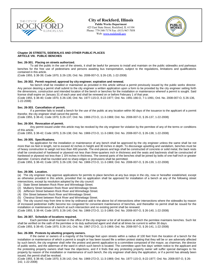

**City of Rockford, Illinois Public Works Department**  425 East State Street, Rockford, IL 61104 Phone: 779-348-7174 Fax: (815) 967-7058 Web: www.rockfordil.gov



#### **Chapter 26 STREETS, SIDEWALKS AND OTHER PUBLIC PLACES ARTICLE VIII. PUBLIC BENCHES**

#### **Sec. 26-301. Placing on streets authorized.**

To aid the public in the use of the streets, it shall be lawful for persons to install and maintain on the public sidewalks and parkways benches for the free use of pedestrians and persons awaiting bus transportation, subject to the regulations, limitations and qualifications contained in this article.

(Code 1955, § 38-39; Code 1970, § 26-135; Ord. No. 2008-007-O, § 26-135, 1-22-2008)

#### **Sec. 26-302. Permit required; approval by city engineer; expiration and renewal.**

No bench shall be installed or maintained as provided in this article without a permit previously issued by the public works director. Any person desiring a permit shall submit to the city engineer a written application upon a form to be provided by the city engineer setting forth the dimensions, construction and intended location of the bench or benches for the installation or maintenance whereof a permit is sought. Said license shall expire on January 31 of each year and shall be renewed on or before February 1 of that year.

(Code 1955, § 38-40; Code 1970, § 26-136; Ord. No. 1977-115-O, 8-22-1977; Ord. No. 1991-166-O, 7-1-1991; Ord. No. 2008-007-O, § 26-136, 1-22-2008)

#### **Sec. 26-303. Cancellation of permit.**

If a permitee fails to install a bench for the use of the public at any location within 90 days of the issuance to the applicant of a permit therefor, the city engineer shall cancel the permit.

(Code 1955, § 38-41; Code 1970, § 26-137; Ord. No. 1969-272-O, 11-3-1969; Ord. No. 2008-007-O, § 26-137, 1-22-2008)

#### **Sec. 26-304. Revocation of permit.**

Any permit issued under this article may be revoked by the city engineer for violation by the permitee of any of the terms or conditions of this article.

(Code 1955, § 38-42; Code 1970, § 26-138; Ord. No. 1969-272-O, 11-3-1969; Ord. No. 2008-007-O, § 26-138, 1-22-2008)

#### **Sec. 26-305. Specifications.**

No application for the installation or maintenance of any bench shall be approved by the city engineer unless the same shall be not more than six feet in length, not to exceed 42 inches in height and 30 inches in depth. To discourage upsetting and vandalism, benches must be of heavy construction to weigh not less than 400 pounds. The end-pieces and legs shall be constructed of concrete or solid metal, the back rests shall be constructed of hardwood or plywood not less than three-quarters inch in thickness and the seats and backrests shall be constructed of hardwood or plywood not less than 1 3/4 inches in thickness. The several parts of the benches shall be joined by bolts of one-half inch or greater diameter. Corners shall be rounded and no sharp edges or protrusions shall be permitted.

(Code 1955, § 38-43; Code 1970, § 26-139; Ord. No. 1969-272-O, 11-3-1969; Ord. No. 2008-007-O, § 26-139, 1-22-2008)

#### **Sec. 26-306. Location.**

(a) The city engineer may approve applications for permits to place benches at any bus stops in the city, now or hereafter established, except as otherwise provided in this article, provided that no application shall be approved for installation of a bench at any of the following street intersections, except by resolution adopted by the city council:

- (1) State Street between Rock River and Winnebago Street.
- (2) Mulberry Street between Rock River and Winnebago Street.
- (3) Jefferson Street between Rock River and Winnebago Street.
- (4) Elm Street between Rock River and Winnebago Street.
- (5) Chestnut Street between Rock River and Winnebago Street.

(b) The city council may from time to time by ordinance add to the above list of intersections other intersections where the sidewalks by reason of increased pedestrian traffic become too congested for convenient maintenance of benches, and thereafter no permit shall be issued for the installation or maintenance of a bench at such intersection and no existing permit shall be renewed.

(Code 1955, § 38-44; Code 1970, § 26-140; Ord. No. 1969-272-O, 11-3-1969; Ord. No. 2008-007-O, § 26-140, 1-22-2008)

#### **Sec. 26-307. Schedule of locations required.**

Each permitee shall maintain in the office of the city engineer a list of all locations at which the permitee maintains benches. Such list shall be verified on the oath of the permitee or its duly authorized agent and shall at all times be current to within 30 days. (Code 1955, § 38-45; Code 1970, § 26-141; Ord. No. 1967-272-O, 11-3-1969; Ord. No. 2008-007-O, § 26-141, 1-22-2008)

#### **Sec. 26-308. Protests by abutting property owners.**

If the owner or owners of a majority of the frontage feet upon streets within a radius of 100 feet from the location of a bench for the installation or maintenance of which a permit is sought or has been issued file a written protest stating that they will be or are adversely affected by such bench, the city engineer shall refer the protest and permit application to a committee composed of the mayor, as chairman, the director of public works, and the alderman of the ward in which such bench is located. The committee upon five days' written notice to the applicant and the protesting property owners shall hear the objections, and if it finds that any protesting property owner will suffer special damages to his property by reason of the installation or maintenance of such bench, the city engineer shall deny the application, or if a permit has already been issued, the permit shall be revoked.

(Code 1955, § 38-46; Code 1970, § 26-142; Ord. No. 1969-272-O, 11-3-1969; Ord. No. 1977-115-O, 8-22-1977; Ord. No. 2008-007-O, § 26- 142, 1-22-2008)